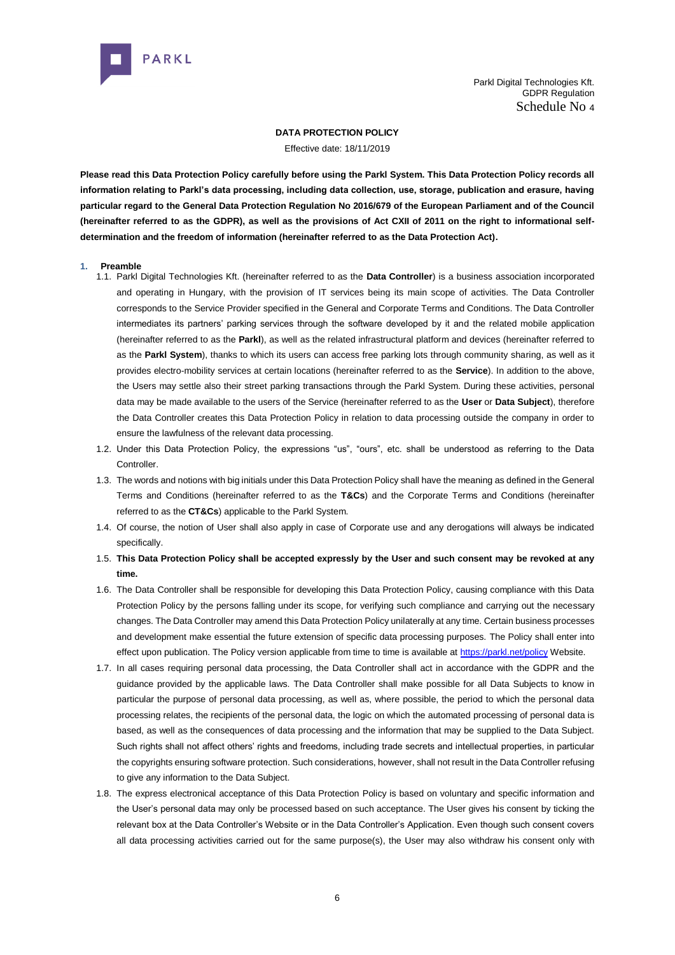

#### **DATA PROTECTION POLICY**

Effective date: 18/11/2019

**Please read this Data Protection Policy carefully before using the Parkl System. This Data Protection Policy records all information relating to Parkl's data processing, including data collection, use, storage, publication and erasure, having particular regard to the General Data Protection Regulation No 2016/679 of the European Parliament and of the Council (hereinafter referred to as the GDPR), as well as the provisions of Act CXII of 2011 on the right to informational selfdetermination and the freedom of information (hereinafter referred to as the Data Protection Act).**

- **1. Preamble**
	- 1.1. Parkl Digital Technologies Kft. (hereinafter referred to as the **Data Controller**) is a business association incorporated and operating in Hungary, with the provision of IT services being its main scope of activities. The Data Controller corresponds to the Service Provider specified in the General and Corporate Terms and Conditions. The Data Controller intermediates its partners' parking services through the software developed by it and the related mobile application (hereinafter referred to as the **Parkl**), as well as the related infrastructural platform and devices (hereinafter referred to as the **Parkl System**), thanks to which its users can access free parking lots through community sharing, as well as it provides electro-mobility services at certain locations (hereinafter referred to as the **Service**). In addition to the above, the Users may settle also their street parking transactions through the Parkl System. During these activities, personal data may be made available to the users of the Service (hereinafter referred to as the **User** or **Data Subject**), therefore the Data Controller creates this Data Protection Policy in relation to data processing outside the company in order to ensure the lawfulness of the relevant data processing.
	- 1.2. Under this Data Protection Policy, the expressions "us", "ours", etc. shall be understood as referring to the Data Controller.
	- 1.3. The words and notions with big initials under this Data Protection Policy shall have the meaning as defined in the General Terms and Conditions (hereinafter referred to as the **T&Cs**) and the Corporate Terms and Conditions (hereinafter referred to as the **CT&Cs**) applicable to the Parkl System.
	- 1.4. Of course, the notion of User shall also apply in case of Corporate use and any derogations will always be indicated specifically.
	- 1.5. **This Data Protection Policy shall be accepted expressly by the User and such consent may be revoked at any time.**
	- 1.6. The Data Controller shall be responsible for developing this Data Protection Policy, causing compliance with this Data Protection Policy by the persons falling under its scope, for verifying such compliance and carrying out the necessary changes. The Data Controller may amend this Data Protection Policy unilaterally at any time. Certain business processes and development make essential the future extension of specific data processing purposes. The Policy shall enter into effect upon publication. The Policy version applicable from time to time is available at [https://parkl.net/policy](about:blank) Website.
	- 1.7. In all cases requiring personal data processing, the Data Controller shall act in accordance with the GDPR and the guidance provided by the applicable laws. The Data Controller shall make possible for all Data Subjects to know in particular the purpose of personal data processing, as well as, where possible, the period to which the personal data processing relates, the recipients of the personal data, the logic on which the automated processing of personal data is based, as well as the consequences of data processing and the information that may be supplied to the Data Subject. Such rights shall not affect others' rights and freedoms, including trade secrets and intellectual properties, in particular the copyrights ensuring software protection. Such considerations, however, shall not result in the Data Controller refusing to give any information to the Data Subject.
	- 1.8. The express electronical acceptance of this Data Protection Policy is based on voluntary and specific information and the User's personal data may only be processed based on such acceptance. The User gives his consent by ticking the relevant box at the Data Controller's Website or in the Data Controller's Application. Even though such consent covers all data processing activities carried out for the same purpose(s), the User may also withdraw his consent only with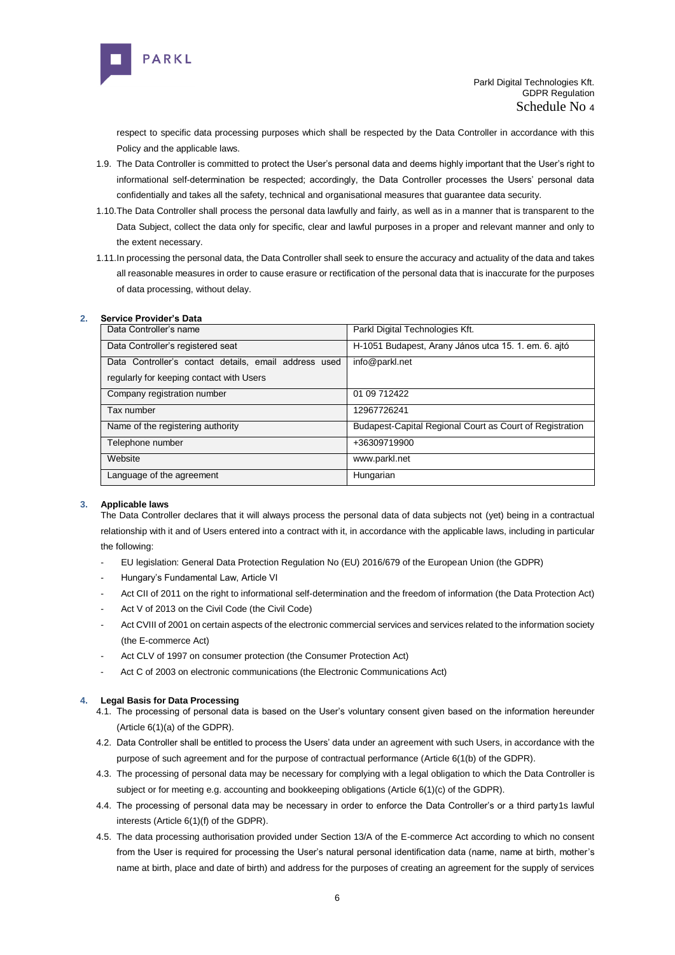

respect to specific data processing purposes which shall be respected by the Data Controller in accordance with this Policy and the applicable laws.

- 1.9. The Data Controller is committed to protect the User's personal data and deems highly important that the User's right to informational self-determination be respected; accordingly, the Data Controller processes the Users' personal data confidentially and takes all the safety, technical and organisational measures that guarantee data security.
- 1.10.The Data Controller shall process the personal data lawfully and fairly, as well as in a manner that is transparent to the Data Subject, collect the data only for specific, clear and lawful purposes in a proper and relevant manner and only to the extent necessary.
- 1.11.In processing the personal data, the Data Controller shall seek to ensure the accuracy and actuality of the data and takes all reasonable measures in order to cause erasure or rectification of the personal data that is inaccurate for the purposes of data processing, without delay.

## **2. Service Provider's Data**

| Data Controller's name                                | Parkl Digital Technologies Kft.                          |
|-------------------------------------------------------|----------------------------------------------------------|
| Data Controller's registered seat                     | H-1051 Budapest, Arany János utca 15. 1. em. 6. ajtó     |
| Data Controller's contact details, email address used | info@parkl.net                                           |
| regularly for keeping contact with Users              |                                                          |
| Company registration number                           | 01 09 712422                                             |
| Tax number                                            | 12967726241                                              |
| Name of the registering authority                     | Budapest-Capital Regional Court as Court of Registration |
| Telephone number                                      | +36309719900                                             |
| Website                                               | www.parkl.net                                            |
| Language of the agreement                             | Hungarian                                                |

#### **3. Applicable laws**

The Data Controller declares that it will always process the personal data of data subjects not (yet) being in a contractual relationship with it and of Users entered into a contract with it, in accordance with the applicable laws, including in particular the following:

- EU legislation: General Data Protection Regulation No (EU) 2016/679 of the European Union (the GDPR)
- Hungary's Fundamental Law, Article VI
- Act CII of 2011 on the right to informational self-determination and the freedom of information (the Data Protection Act)
- Act V of 2013 on the Civil Code (the Civil Code)
- Act CVIII of 2001 on certain aspects of the electronic commercial services and services related to the information society (the E-commerce Act)
- Act CLV of 1997 on consumer protection (the Consumer Protection Act)
- Act C of 2003 on electronic communications (the Electronic Communications Act)

#### **4. Legal Basis for Data Processing**

- 4.1. The processing of personal data is based on the User's voluntary consent given based on the information hereunder (Article 6(1)(a) of the GDPR).
- 4.2. Data Controller shall be entitled to process the Users' data under an agreement with such Users, in accordance with the purpose of such agreement and for the purpose of contractual performance (Article 6(1(b) of the GDPR).
- 4.3. The processing of personal data may be necessary for complying with a legal obligation to which the Data Controller is subject or for meeting e.g. accounting and bookkeeping obligations (Article 6(1)(c) of the GDPR).
- 4.4. The processing of personal data may be necessary in order to enforce the Data Controller's or a third party1s lawful interests (Article 6(1)(f) of the GDPR).
- 4.5. The data processing authorisation provided under Section 13/A of the E-commerce Act according to which no consent from the User is required for processing the User's natural personal identification data (name, name at birth, mother's name at birth, place and date of birth) and address for the purposes of creating an agreement for the supply of services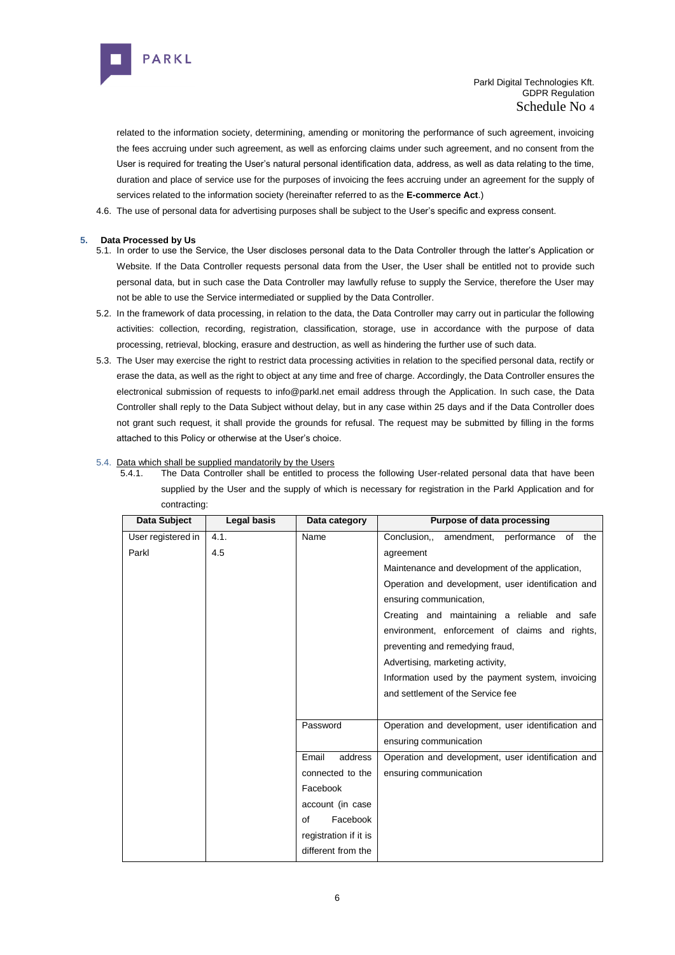

related to the information society, determining, amending or monitoring the performance of such agreement, invoicing the fees accruing under such agreement, as well as enforcing claims under such agreement, and no consent from the User is required for treating the User's natural personal identification data, address, as well as data relating to the time, duration and place of service use for the purposes of invoicing the fees accruing under an agreement for the supply of services related to the information society (hereinafter referred to as the **E-commerce Act**.)

4.6. The use of personal data for advertising purposes shall be subject to the User's specific and express consent.

# **5. Data Processed by Us**

- 5.1. In order to use the Service, the User discloses personal data to the Data Controller through the latter's Application or Website. If the Data Controller requests personal data from the User, the User shall be entitled not to provide such personal data, but in such case the Data Controller may lawfully refuse to supply the Service, therefore the User may not be able to use the Service intermediated or supplied by the Data Controller.
- 5.2. In the framework of data processing, in relation to the data, the Data Controller may carry out in particular the following activities: collection, recording, registration, classification, storage, use in accordance with the purpose of data processing, retrieval, blocking, erasure and destruction, as well as hindering the further use of such data.
- 5.3. The User may exercise the right to restrict data processing activities in relation to the specified personal data, rectify or erase the data, as well as the right to object at any time and free of charge. Accordingly, the Data Controller ensures the electronical submission of requests to info@parkl.net email address through the Application. In such case, the Data Controller shall reply to the Data Subject without delay, but in any case within 25 days and if the Data Controller does not grant such request, it shall provide the grounds for refusal. The request may be submitted by filling in the forms attached to this Policy or otherwise at the User's choice.

## 5.4. Data which shall be supplied mandatorily by the Users

5.4.1. The Data Controller shall be entitled to process the following User-related personal data that have been supplied by the User and the supply of which is necessary for registration in the Parkl Application and for contracting:

| Data Subject       | Legal basis | Data category         | Purpose of data processing                         |
|--------------------|-------------|-----------------------|----------------------------------------------------|
| User registered in | 4.1.        | Name                  | Conclusion,, amendment, performance of the         |
| Parkl              | 4.5         |                       | agreement                                          |
|                    |             |                       | Maintenance and development of the application,    |
|                    |             |                       | Operation and development, user identification and |
|                    |             |                       | ensuring communication,                            |
|                    |             |                       | Creating and maintaining a reliable and safe       |
|                    |             |                       | environment, enforcement of claims and rights,     |
|                    |             |                       | preventing and remedying fraud,                    |
|                    |             |                       | Advertising, marketing activity,                   |
|                    |             |                       | Information used by the payment system, invoicing  |
|                    |             |                       | and settlement of the Service fee                  |
|                    |             |                       |                                                    |
|                    |             | Password              | Operation and development, user identification and |
|                    |             |                       | ensuring communication                             |
|                    |             | Email<br>address      | Operation and development, user identification and |
|                    |             | connected to the      | ensuring communication                             |
|                    |             | Facebook              |                                                    |
|                    |             | account (in case      |                                                    |
|                    |             | Facebook<br>οf        |                                                    |
|                    |             | registration if it is |                                                    |
|                    |             | different from the    |                                                    |
|                    |             |                       |                                                    |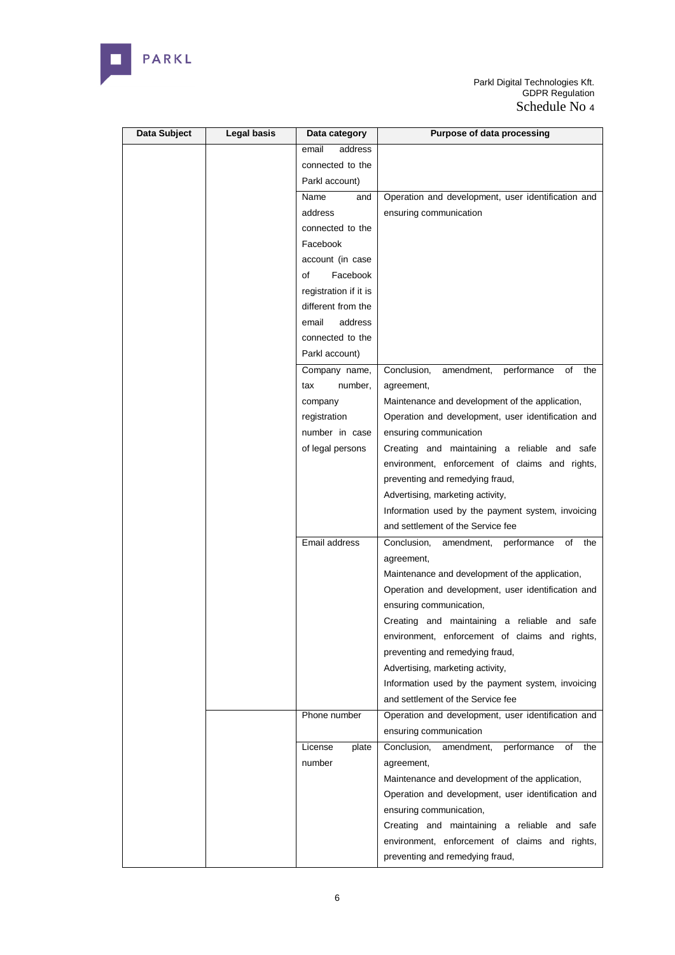

| Data Subject | Legal basis | Data category         | <b>Purpose of data processing</b>                     |
|--------------|-------------|-----------------------|-------------------------------------------------------|
|              |             | email<br>address      |                                                       |
|              |             | connected to the      |                                                       |
|              |             | Parkl account)        |                                                       |
|              |             | Name<br>and           | Operation and development, user identification and    |
|              |             | address               | ensuring communication                                |
|              |             | connected to the      |                                                       |
|              |             | Facebook              |                                                       |
|              |             | account (in case      |                                                       |
|              |             | of<br>Facebook        |                                                       |
|              |             | registration if it is |                                                       |
|              |             | different from the    |                                                       |
|              |             | email<br>address      |                                                       |
|              |             | connected to the      |                                                       |
|              |             | Parkl account)        |                                                       |
|              |             | Company name,         | Conclusion,<br>amendment,<br>performance<br>of<br>the |
|              |             | number,<br>tax        | agreement,                                            |
|              |             | company               | Maintenance and development of the application,       |
|              |             | registration          | Operation and development, user identification and    |
|              |             | number in case        | ensuring communication                                |
|              |             | of legal persons      | Creating and maintaining a reliable and safe          |
|              |             |                       | environment, enforcement of claims and rights,        |
|              |             |                       | preventing and remedying fraud,                       |
|              |             |                       | Advertising, marketing activity,                      |
|              |             |                       | Information used by the payment system, invoicing     |
|              |             |                       | and settlement of the Service fee                     |
|              |             | Email address         | performance<br>Conclusion,<br>of<br>the<br>amendment, |
|              |             |                       | agreement,                                            |
|              |             |                       | Maintenance and development of the application,       |
|              |             |                       | Operation and development, user identification and    |
|              |             |                       | ensuring communication,                               |
|              |             |                       | Creating and maintaining a reliable and safe          |
|              |             |                       | environment, enforcement of claims and rights,        |
|              |             |                       | preventing and remedying fraud,                       |
|              |             |                       | Advertising, marketing activity,                      |
|              |             |                       | Information used by the payment system, invoicing     |
|              |             |                       | and settlement of the Service fee                     |
|              |             | Phone number          | Operation and development, user identification and    |
|              |             |                       | ensuring communication                                |
|              |             | License<br>plate      | Conclusion,<br>performance<br>of<br>the<br>amendment, |
|              |             | number                | agreement,                                            |
|              |             |                       | Maintenance and development of the application,       |
|              |             |                       | Operation and development, user identification and    |
|              |             |                       | ensuring communication,                               |
|              |             |                       | Creating and maintaining a reliable and safe          |
|              |             |                       | environment, enforcement of claims and rights,        |
|              |             |                       | preventing and remedying fraud,                       |
|              |             |                       |                                                       |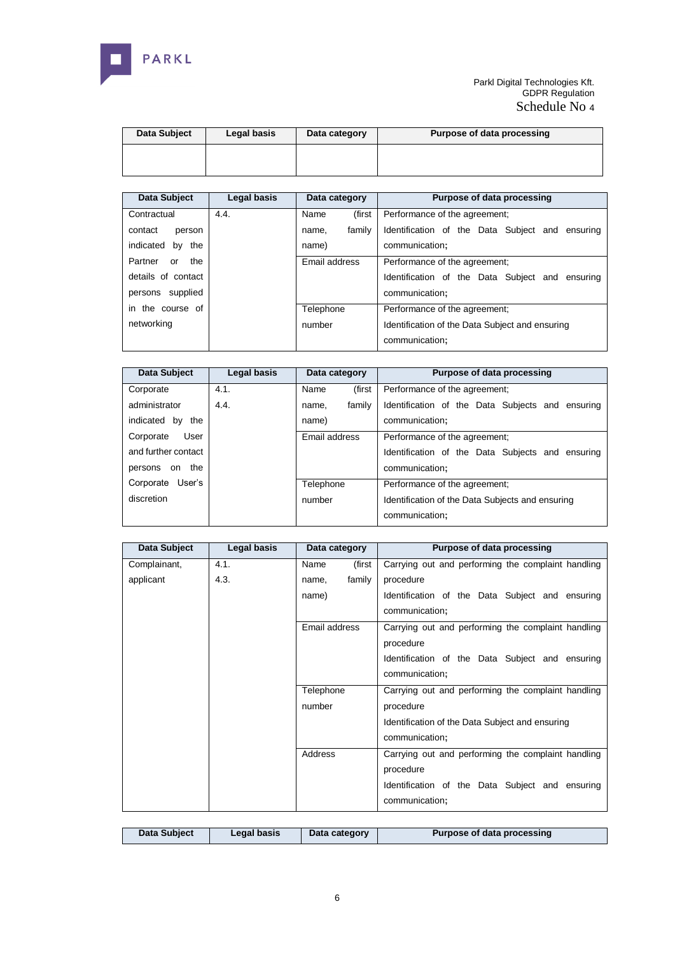

| Data Subject | Legal basis | Data category | Purpose of data processing |
|--------------|-------------|---------------|----------------------------|
|              |             |               |                            |

| Data Subject         | Legal basis | Data category   | Purpose of data processing                      |
|----------------------|-------------|-----------------|-------------------------------------------------|
| Contractual          | 4.4.        | Name<br>(first  | Performance of the agreement:                   |
| contact<br>person    |             | family<br>name. | Identification of the Data Subject and ensuring |
| indicated<br>by the  |             | name)           | communication:                                  |
| Partner<br>the<br>or |             | Email address   | Performance of the agreement:                   |
| details of contact   |             |                 | Identification of the Data Subject and ensuring |
| persons supplied     |             |                 | communication;                                  |
| in the course of     |             | Telephone       | Performance of the agreement;                   |
| networking           |             | number          | Identification of the Data Subject and ensuring |
|                      |             |                 | communication;                                  |

| Data Subject        | Legal basis | Data category   | Purpose of data processing                       |
|---------------------|-------------|-----------------|--------------------------------------------------|
| Corporate           | 4.1.        | (first<br>Name  | Performance of the agreement:                    |
| administrator       | 4.4.        | family<br>name, | Identification of the Data Subjects and ensuring |
| indicated by the    |             | name)           | communication;                                   |
| User<br>Corporate   |             | Email address   | Performance of the agreement;                    |
| and further contact |             |                 | Identification of the Data Subjects and ensuring |
| the<br>persons on   |             |                 | communication;                                   |
| Corporate User's    |             | Telephone       | Performance of the agreement;                    |
| discretion          |             | number          | Identification of the Data Subjects and ensuring |
|                     |             |                 | communication:                                   |

| Data Subject | Legal basis | Data category   | Purpose of data processing                         |
|--------------|-------------|-----------------|----------------------------------------------------|
| Complainant, | 4.1.        | (first<br>Name  | Carrying out and performing the complaint handling |
| applicant    | 4.3.        | family<br>name. | procedure                                          |
|              |             | name)           | Identification of the Data Subject and ensuring    |
|              |             |                 | communication;                                     |
|              |             | Email address   | Carrying out and performing the complaint handling |
|              |             |                 | procedure                                          |
|              |             |                 | Identification of the Data Subject and ensuring    |
|              |             |                 | communication;                                     |
|              |             | Telephone       | Carrying out and performing the complaint handling |
|              |             | number          | procedure                                          |
|              |             |                 | Identification of the Data Subject and ensuring    |
|              |             |                 | communication;                                     |
|              |             | Address         | Carrying out and performing the complaint handling |
|              |             |                 | procedure                                          |
|              |             |                 | Identification of the Data Subject and ensuring    |
|              |             |                 | communication;                                     |

|  | Data Subject | Legal basis | Data category | Purpose of data processing |
|--|--------------|-------------|---------------|----------------------------|
|--|--------------|-------------|---------------|----------------------------|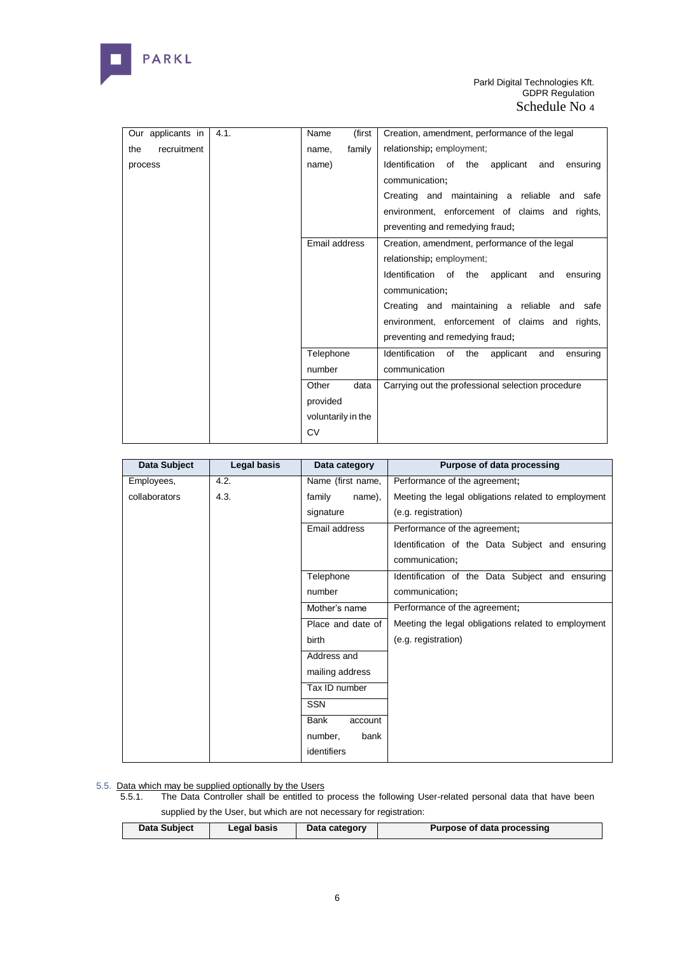

| Our applicants in  | 4.1. | (first<br>Name     | Creation, amendment, performance of the legal            |
|--------------------|------|--------------------|----------------------------------------------------------|
| recruitment<br>the |      | family<br>name,    | relationship; employment;                                |
| process            |      | name)              | Identification of the applicant and<br>ensuring          |
|                    |      |                    | communication;                                           |
|                    |      |                    | Creating and maintaining a reliable and safe             |
|                    |      |                    | environment, enforcement of claims and rights,           |
|                    |      |                    | preventing and remedying fraud;                          |
|                    |      | Email address      | Creation, amendment, performance of the legal            |
|                    |      |                    | relationship; employment;                                |
|                    |      |                    | Identification of the applicant<br>and<br>ensuring       |
|                    |      |                    | communication;                                           |
|                    |      |                    | Creating and maintaining a reliable and safe             |
|                    |      |                    | environment, enforcement of claims and rights,           |
|                    |      |                    | preventing and remedying fraud;                          |
|                    |      | Telephone          | Identification of<br>the<br>applicant<br>and<br>ensuring |
|                    |      | number             | communication                                            |
|                    |      | Other<br>data      | Carrying out the professional selection procedure        |
|                    |      | provided           |                                                          |
|                    |      | voluntarily in the |                                                          |
|                    |      | CV                 |                                                          |

| Data Subject  | Legal basis | Data category          | Purpose of data processing                          |
|---------------|-------------|------------------------|-----------------------------------------------------|
| Employees,    | 4.2.        | Name (first name,      | Performance of the agreement;                       |
| collaborators | 4.3.        | family<br>name),       | Meeting the legal obligations related to employment |
|               |             | signature              | (e.g. registration)                                 |
|               |             | Email address          | Performance of the agreement;                       |
|               |             |                        | Identification of the Data Subject and ensuring     |
|               |             |                        | communication;                                      |
|               |             | Telephone              | Identification of the Data Subject and ensuring     |
|               |             | number                 | communication;                                      |
|               |             | Mother's name          | Performance of the agreement;                       |
|               |             | Place and date of      | Meeting the legal obligations related to employment |
|               |             | birth                  | (e.g. registration)                                 |
|               |             | Address and            |                                                     |
|               |             | mailing address        |                                                     |
|               |             | Tax ID number          |                                                     |
|               |             | <b>SSN</b>             |                                                     |
|               |             | <b>Bank</b><br>account |                                                     |
|               |             | number,<br>bank        |                                                     |
|               |             | identifiers            |                                                     |

#### 5.5. Data which may be supplied optionally by the Users

5.5.1. The Data Controller shall be entitled to process the following User-related personal data that have been supplied by the User, but which are not necessary for registration:

| Data Subject<br>Purpose of data processing<br>Legal basis<br>Data category |  |  |  |
|----------------------------------------------------------------------------|--|--|--|
|                                                                            |  |  |  |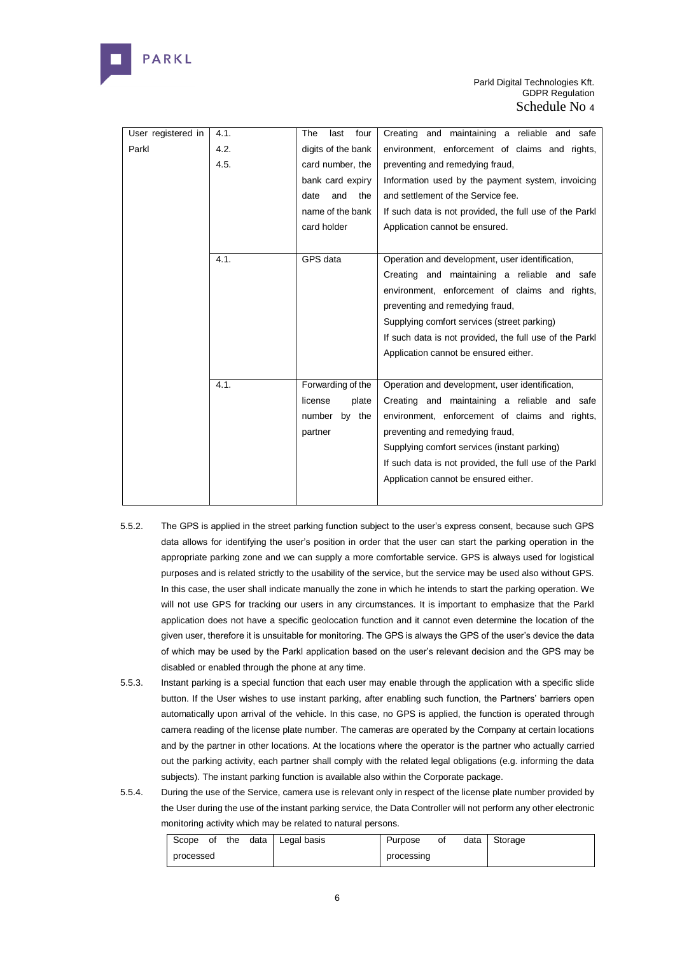

| User registered in | 4.1. | four<br>The<br>last | Creating and maintaining a reliable and safe            |
|--------------------|------|---------------------|---------------------------------------------------------|
| Parkl              | 4.2. | digits of the bank  | environment, enforcement of claims and rights,          |
|                    | 4.5. | card number, the    | preventing and remedying fraud,                         |
|                    |      | bank card expiry    | Information used by the payment system, invoicing       |
|                    |      | and<br>the<br>date  | and settlement of the Service fee.                      |
|                    |      | name of the bank    | If such data is not provided, the full use of the Parkl |
|                    |      | card holder         | Application cannot be ensured.                          |
|                    |      |                     |                                                         |
|                    | 4.1. | GPS data            | Operation and development, user identification,         |
|                    |      |                     | Creating and maintaining a reliable and safe            |
|                    |      |                     | environment, enforcement of claims and rights,          |
|                    |      |                     | preventing and remedying fraud,                         |
|                    |      |                     | Supplying comfort services (street parking)             |
|                    |      |                     | If such data is not provided, the full use of the Parkl |
|                    |      |                     | Application cannot be ensured either.                   |
|                    |      |                     |                                                         |
|                    | 4.1. | Forwarding of the   | Operation and development, user identification,         |
|                    |      | license<br>plate    | Creating and maintaining a reliable and safe            |
|                    |      | number<br>by the    | environment, enforcement of claims and rights,          |
|                    |      | partner             | preventing and remedying fraud,                         |
|                    |      |                     | Supplying comfort services (instant parking)            |
|                    |      |                     | If such data is not provided, the full use of the Parkl |
|                    |      |                     | Application cannot be ensured either.                   |
|                    |      |                     |                                                         |

- 5.5.2. The GPS is applied in the street parking function subject to the user's express consent, because such GPS data allows for identifying the user's position in order that the user can start the parking operation in the appropriate parking zone and we can supply a more comfortable service. GPS is always used for logistical purposes and is related strictly to the usability of the service, but the service may be used also without GPS. In this case, the user shall indicate manually the zone in which he intends to start the parking operation. We will not use GPS for tracking our users in any circumstances. It is important to emphasize that the Parkl application does not have a specific geolocation function and it cannot even determine the location of the given user, therefore it is unsuitable for monitoring. The GPS is always the GPS of the user's device the data of which may be used by the Parkl application based on the user's relevant decision and the GPS may be disabled or enabled through the phone at any time.
- 5.5.3. Instant parking is a special function that each user may enable through the application with a specific slide button. If the User wishes to use instant parking, after enabling such function, the Partners' barriers open automatically upon arrival of the vehicle. In this case, no GPS is applied, the function is operated through camera reading of the license plate number. The cameras are operated by the Company at certain locations and by the partner in other locations. At the locations where the operator is the partner who actually carried out the parking activity, each partner shall comply with the related legal obligations (e.g. informing the data subiects). The instant parking function is available also within the Corporate package.
- 5.5.4. During the use of the Service, camera use is relevant only in respect of the license plate number provided by the User during the use of the instant parking service, the Data Controller will not perform any other electronic monitoring activity which may be related to natural persons.

|           |  |  | Scope of the data   Legal basis | Purpose | οf | data Storage |
|-----------|--|--|---------------------------------|---------|----|--------------|
| processed |  |  | processing                      |         |    |              |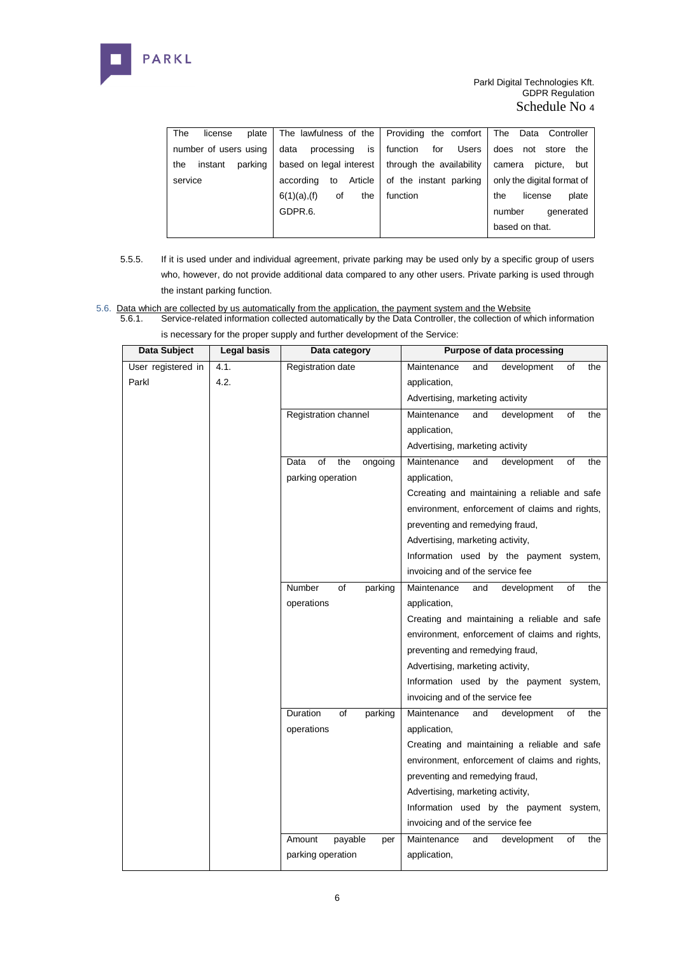

| The<br>plate<br>license   |                                                    | The lawfulness of the   Providing the comfort | The Data Controller         |
|---------------------------|----------------------------------------------------|-----------------------------------------------|-----------------------------|
| number of users using     | is<br>data<br>processing                           | for<br>Users<br>function                      | does<br>not<br>the<br>store |
| parking<br>instant<br>the | based on legal interest   through the availability |                                               | picture.<br>camera<br>but   |
| service                   | Article  <br>according<br>to                       | of the instant parking                        | only the digital format of  |
|                           | $6(1)(a)$ , (f)<br>the<br>οf                       | function                                      | plate<br>the<br>license     |
|                           | GDPR.6.                                            |                                               | number<br>generated         |
|                           |                                                    |                                               | based on that.              |

- 5.5.5. If it is used under and individual agreement, private parking may be used only by a specific group of users who, however, do not provide additional data compared to any other users. Private parking is used through the instant parking function.
- 5.6. Data which are collected by us automatically from the application, the payment system and the Website<br>5.6.1. Service-related information collected automatically by the Data Controller, the collection of wh
	- 5.6.1. Service-related information collected automatically by the Data Controller, the collection of which information is necessary for the proper supply and further development of the Service:

| Data Subject       | <b>Legal basis</b> | Data category                | Purpose of data processing                     |
|--------------------|--------------------|------------------------------|------------------------------------------------|
| User registered in | 4.1.               | Registration date            | Maintenance<br>and<br>development<br>of<br>the |
| Parkl              | 4.2.               |                              | application,                                   |
|                    |                    |                              | Advertising, marketing activity                |
|                    |                    | Registration channel         | Maintenance<br>and<br>development<br>οf<br>the |
|                    |                    |                              | application,                                   |
|                    |                    |                              | Advertising, marketing activity                |
|                    |                    | the<br>Data<br>of<br>ongoing | Maintenance<br>development<br>οf<br>the<br>and |
|                    |                    | parking operation            | application,                                   |
|                    |                    |                              | Ccreating and maintaining a reliable and safe  |
|                    |                    |                              | environment, enforcement of claims and rights, |
|                    |                    |                              | preventing and remedying fraud,                |
|                    |                    |                              | Advertising, marketing activity,               |
|                    |                    |                              | Information used by the payment system,        |
|                    |                    |                              | invoicing and of the service fee               |
|                    |                    | Number<br>of<br>parking      | Maintenance<br>development<br>οf<br>the<br>and |
|                    |                    | operations                   | application,                                   |
|                    |                    |                              | Creating and maintaining a reliable and safe   |
|                    |                    |                              | environment, enforcement of claims and rights, |
|                    |                    |                              | preventing and remedying fraud,                |
|                    |                    |                              | Advertising, marketing activity,               |
|                    |                    |                              | Information used by the payment system,        |
|                    |                    |                              | invoicing and of the service fee               |
|                    |                    | Duration<br>of<br>parking    | Maintenance<br>οf<br>the<br>and<br>development |
|                    |                    | operations                   | application,                                   |
|                    |                    |                              | Creating and maintaining a reliable and safe   |
|                    |                    |                              | environment, enforcement of claims and rights, |
|                    |                    |                              | preventing and remedying fraud,                |
|                    |                    |                              | Advertising, marketing activity,               |
|                    |                    |                              | Information used by the payment system,        |
|                    |                    |                              | invoicing and of the service fee               |
|                    |                    | payable<br>Amount<br>per     | Maintenance<br>development<br>of<br>the<br>and |
|                    |                    | parking operation            | application,                                   |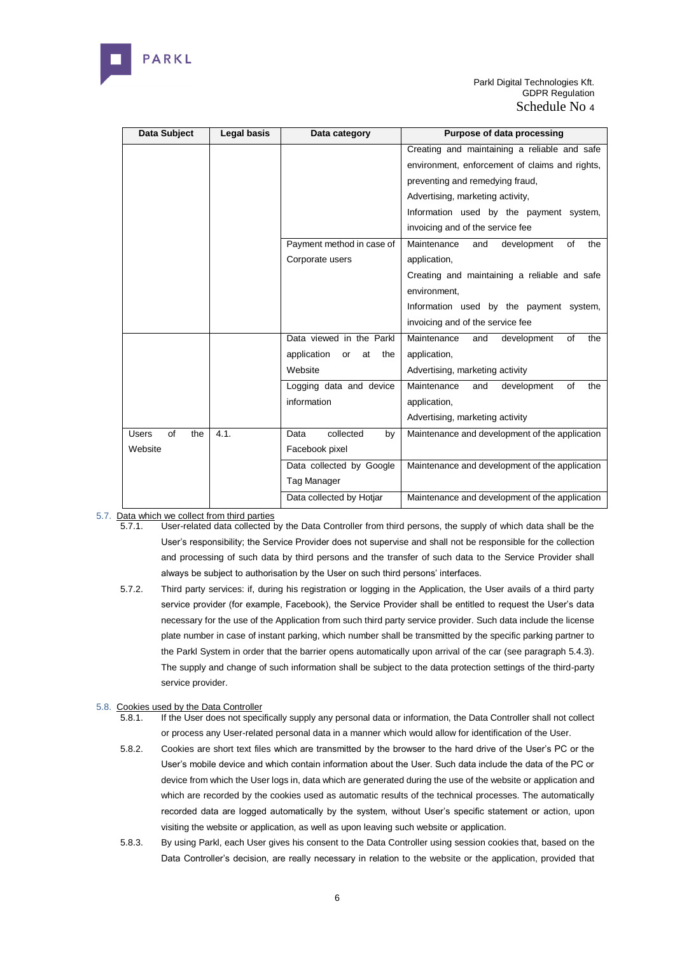

| Data Subject<br>Legal basis |      | Data category                  | Purpose of data processing                     |  |
|-----------------------------|------|--------------------------------|------------------------------------------------|--|
|                             |      |                                | Creating and maintaining a reliable and safe   |  |
|                             |      |                                | environment, enforcement of claims and rights, |  |
|                             |      |                                | preventing and remedying fraud,                |  |
|                             |      |                                | Advertising, marketing activity,               |  |
|                             |      |                                | Information used by the payment system,        |  |
|                             |      |                                | invoicing and of the service fee               |  |
|                             |      | Payment method in case of      | Maintenance<br>development<br>the<br>of<br>and |  |
|                             |      | Corporate users                | application,                                   |  |
|                             |      |                                | Creating and maintaining a reliable and safe   |  |
|                             |      |                                | environment.                                   |  |
|                             |      |                                | Information used by the payment system,        |  |
|                             |      |                                | invoicing and of the service fee               |  |
|                             |      | Data viewed in the Parkl       | Maintenance<br>development<br>of<br>the<br>and |  |
|                             |      | application<br>or<br>at<br>the | application,                                   |  |
|                             |      | Website                        | Advertising, marketing activity                |  |
|                             |      | Logging data and device        | Maintenance<br>development<br>of<br>the<br>and |  |
|                             |      | information                    | application,                                   |  |
|                             |      |                                | Advertising, marketing activity                |  |
| of<br><b>Users</b><br>the   | 4.1. | collected<br>Data<br>by        | Maintenance and development of the application |  |
| Website                     |      | Facebook pixel                 |                                                |  |
|                             |      | Data collected by Google       | Maintenance and development of the application |  |
|                             |      | Tag Manager                    |                                                |  |
|                             |      | Data collected by Hotjar       | Maintenance and development of the application |  |

- 5.7. Data which we collect from third parties
	- 5.7.1. User-related data collected by the Data Controller from third persons, the supply of which data shall be the User's responsibility; the Service Provider does not supervise and shall not be responsible for the collection and processing of such data by third persons and the transfer of such data to the Service Provider shall always be subject to authorisation by the User on such third persons' interfaces.
	- 5.7.2. Third party services: if, during his registration or logging in the Application, the User avails of a third party service provider (for example, Facebook), the Service Provider shall be entitled to request the User's data necessary for the use of the Application from such third party service provider. Such data include the license plate number in case of instant parking, which number shall be transmitted by the specific parking partner to the Parkl System in order that the barrier opens automatically upon arrival of the car (see paragraph 5.4.3). The supply and change of such information shall be subject to the data protection settings of the third-party service provider.
- 5.8. Cookies used by the Data Controller
	- 5.8.1. If the User does not specifically supply any personal data or information, the Data Controller shall not collect or process any User-related personal data in a manner which would allow for identification of the User.
	- 5.8.2. Cookies are short text files which are transmitted by the browser to the hard drive of the User's PC or the User's mobile device and which contain information about the User. Such data include the data of the PC or device from which the User logs in, data which are generated during the use of the website or application and which are recorded by the cookies used as automatic results of the technical processes. The automatically recorded data are logged automatically by the system, without User's specific statement or action, upon visiting the website or application, as well as upon leaving such website or application.
	- 5.8.3. By using Parkl, each User gives his consent to the Data Controller using session cookies that, based on the Data Controller's decision, are really necessary in relation to the website or the application, provided that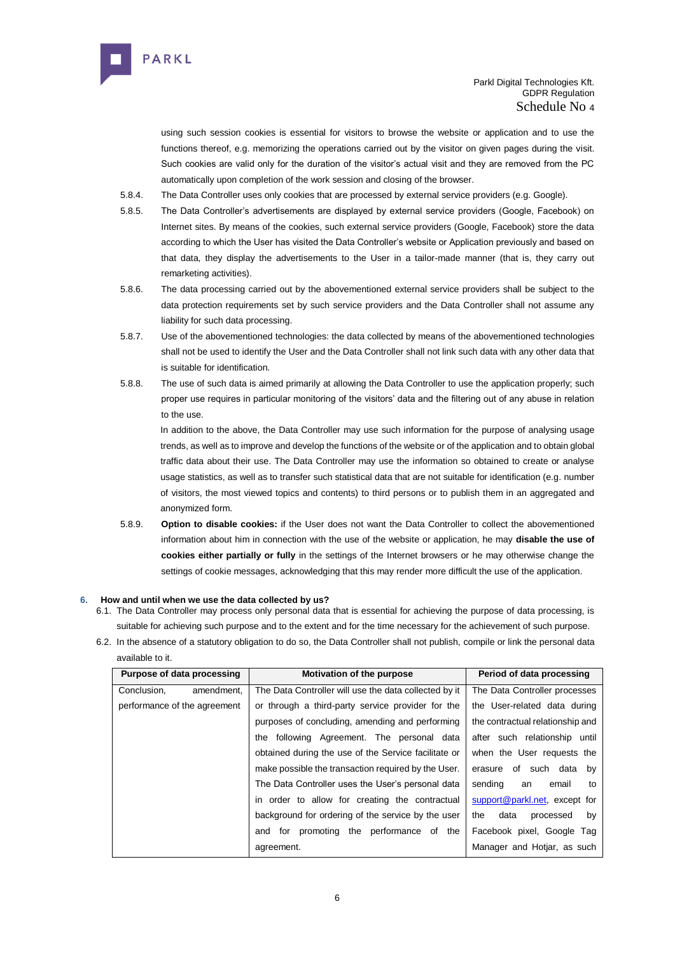

using such session cookies is essential for visitors to browse the website or application and to use the functions thereof, e.g. memorizing the operations carried out by the visitor on given pages during the visit. Such cookies are valid only for the duration of the visitor's actual visit and they are removed from the PC automatically upon completion of the work session and closing of the browser.

- 5.8.4. The Data Controller uses only cookies that are processed by external service providers (e.g. Google).
- 5.8.5. The Data Controller's advertisements are displayed by external service providers (Google, Facebook) on Internet sites. By means of the cookies, such external service providers (Google, Facebook) store the data according to which the User has visited the Data Controller's website or Application previously and based on that data, they display the advertisements to the User in a tailor-made manner (that is, they carry out remarketing activities).
- 5.8.6. The data processing carried out by the abovementioned external service providers shall be subject to the data protection requirements set by such service providers and the Data Controller shall not assume any liability for such data processing.
- 5.8.7. Use of the abovementioned technologies: the data collected by means of the abovementioned technologies shall not be used to identify the User and the Data Controller shall not link such data with any other data that is suitable for identification.
- 5.8.8. The use of such data is aimed primarily at allowing the Data Controller to use the application properly; such proper use requires in particular monitoring of the visitors' data and the filtering out of any abuse in relation to the use.

In addition to the above, the Data Controller may use such information for the purpose of analysing usage trends, as well as to improve and develop the functions of the website or of the application and to obtain global traffic data about their use. The Data Controller may use the information so obtained to create or analyse usage statistics, as well as to transfer such statistical data that are not suitable for identification (e.g. number of visitors, the most viewed topics and contents) to third persons or to publish them in an aggregated and anonymized form.

5.8.9. **Option to disable cookies:** if the User does not want the Data Controller to collect the abovementioned information about him in connection with the use of the website or application, he may **disable the use of cookies either partially or fully** in the settings of the Internet browsers or he may otherwise change the settings of cookie messages, acknowledging that this may render more difficult the use of the application.

# **6. How and until when we use the data collected by us?**

- 6.1. The Data Controller may process only personal data that is essential for achieving the purpose of data processing, is suitable for achieving such purpose and to the extent and for the time necessary for the achievement of such purpose.
- 6.2. In the absence of a statutory obligation to do so, the Data Controller shall not publish, compile or link the personal data available to it.

| Purpose of data processing   | Motivation of the purpose                             | Period of data processing        |
|------------------------------|-------------------------------------------------------|----------------------------------|
| Conclusion,<br>amendment,    | The Data Controller will use the data collected by it | The Data Controller processes    |
| performance of the agreement | or through a third-party service provider for the     | the User-related data during     |
|                              | purposes of concluding, amending and performing       | the contractual relationship and |
|                              | the following Agreement. The personal data            | after such relationship until    |
|                              | obtained during the use of the Service facilitate or  | when the User requests the       |
|                              | make possible the transaction required by the User.   | of such data by<br>erasure       |
|                              | The Data Controller uses the User's personal data     | sending<br>email<br>to<br>an     |
|                              | in order to allow for creating the contractual        | support@parkl.net, except for    |
|                              | background for ordering of the service by the user    | data<br>the<br>processed<br>by   |
|                              | for promoting the performance of the<br>and           | Facebook pixel, Google Tag       |
|                              | agreement.                                            | Manager and Hotjar, as such      |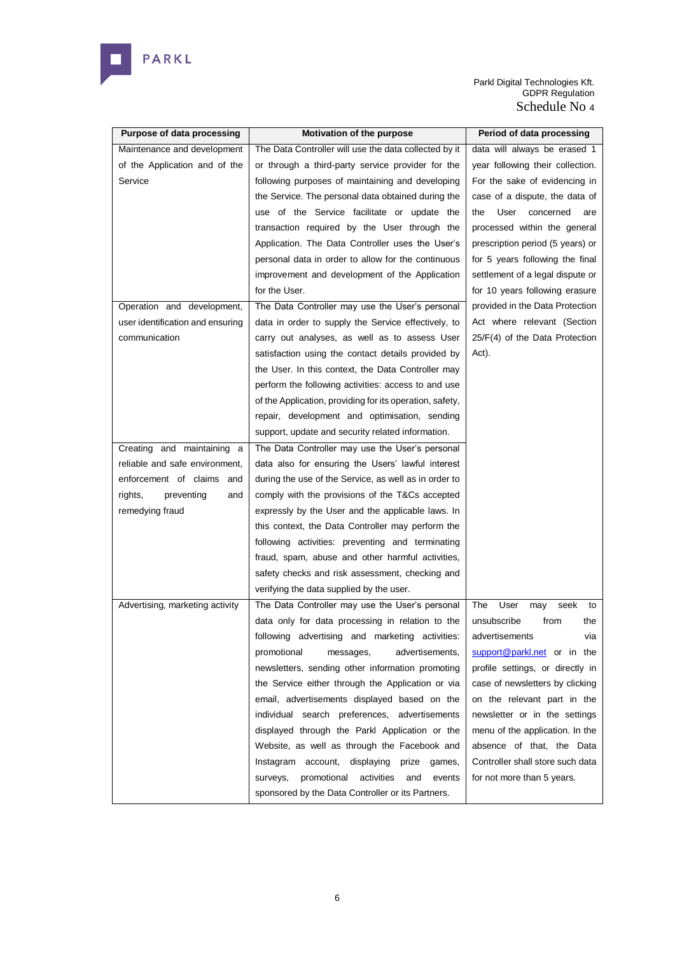

| Purpose of data processing       | Motivation of the purpose                                | Period of data processing        |
|----------------------------------|----------------------------------------------------------|----------------------------------|
| Maintenance and development      | The Data Controller will use the data collected by it    | data will always be erased 1     |
| of the Application and of the    | or through a third-party service provider for the        | year following their collection. |
| Service                          | following purposes of maintaining and developing         | For the sake of evidencing in    |
|                                  | the Service. The personal data obtained during the       | case of a dispute, the data of   |
|                                  | use of the Service facilitate or update the              | concerned<br>the<br>User<br>are  |
|                                  | transaction required by the User through the             | processed within the general     |
|                                  | Application. The Data Controller uses the User's         | prescription period (5 years) or |
|                                  | personal data in order to allow for the continuous       | for 5 years following the final  |
|                                  | improvement and development of the Application           | settlement of a legal dispute or |
|                                  | for the User.                                            | for 10 years following erasure   |
| Operation and development,       | The Data Controller may use the User's personal          | provided in the Data Protection  |
| user identification and ensuring | data in order to supply the Service effectively, to      | Act where relevant (Section      |
| communication                    | carry out analyses, as well as to assess User            | 25/F(4) of the Data Protection   |
|                                  | satisfaction using the contact details provided by       | Act).                            |
|                                  | the User. In this context, the Data Controller may       |                                  |
|                                  | perform the following activities: access to and use      |                                  |
|                                  | of the Application, providing for its operation, safety, |                                  |
|                                  | repair, development and optimisation, sending            |                                  |
|                                  | support, update and security related information.        |                                  |
| Creating and maintaining a       | The Data Controller may use the User's personal          |                                  |
| reliable and safe environment,   | data also for ensuring the Users' lawful interest        |                                  |
| enforcement of claims and        | during the use of the Service, as well as in order to    |                                  |
| preventing<br>rights,<br>and     | comply with the provisions of the T&Cs accepted          |                                  |
| remedying fraud                  | expressly by the User and the applicable laws. In        |                                  |
|                                  | this context, the Data Controller may perform the        |                                  |
|                                  | following activities: preventing and terminating         |                                  |
|                                  | fraud, spam, abuse and other harmful activities,         |                                  |
|                                  | safety checks and risk assessment, checking and          |                                  |
|                                  | verifying the data supplied by the user.                 |                                  |
| Advertising, marketing activity  | The Data Controller may use the User's personal          | The<br>User<br>seek<br>may<br>to |
|                                  | data only for data processing in relation to the         | unsubscribe<br>from<br>the       |
|                                  | following advertising and marketing activities:          | advertisements<br>via            |
|                                  | promotional<br>advertisements,<br>messages,              | support@parkl.net or in the      |
|                                  | newsletters, sending other information promoting         | profile settings, or directly in |
|                                  | the Service either through the Application or via        | case of newsletters by clicking  |
|                                  | email, advertisements displayed based on the             | on the relevant part in the      |
|                                  | individual search preferences, advertisements            | newsletter or in the settings    |
|                                  | displayed through the Parkl Application or the           | menu of the application. In the  |
|                                  | Website, as well as through the Facebook and             | absence of that, the Data        |
|                                  | Instagram account,<br>displaying<br>prize<br>games,      | Controller shall store such data |
|                                  | promotional<br>activities<br>and<br>surveys,<br>events   | for not more than 5 years.       |
|                                  | sponsored by the Data Controller or its Partners.        |                                  |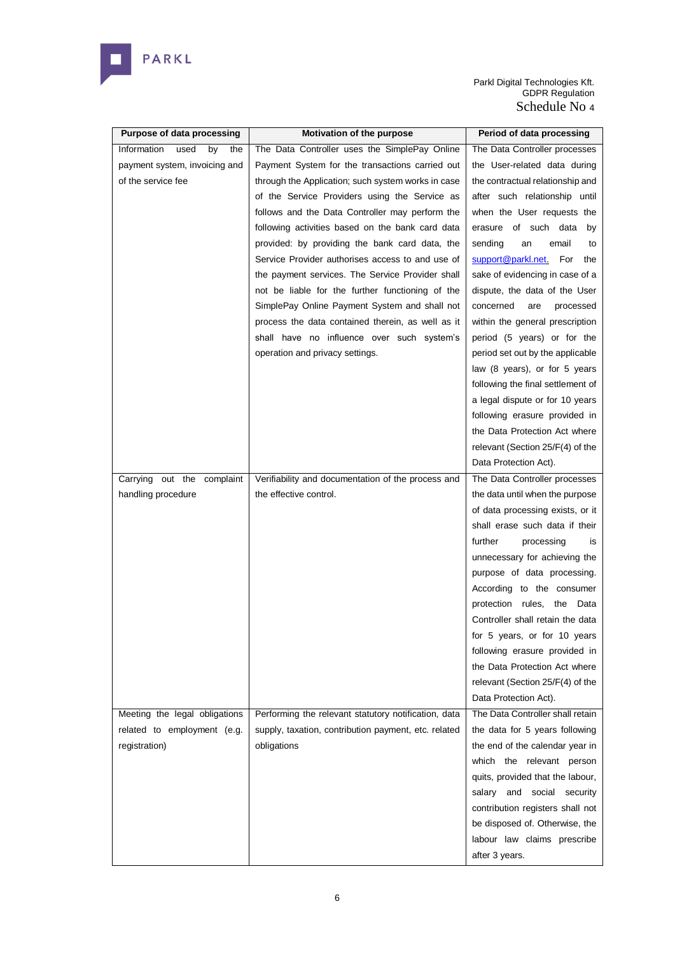

| <b>Purpose of data processing</b> | Motivation of the purpose                            | Period of data processing         |
|-----------------------------------|------------------------------------------------------|-----------------------------------|
| Information<br>used<br>by<br>the  | The Data Controller uses the SimplePay Online        | The Data Controller processes     |
| payment system, invoicing and     | Payment System for the transactions carried out      | the User-related data during      |
| of the service fee                | through the Application; such system works in case   | the contractual relationship and  |
|                                   | of the Service Providers using the Service as        | after such relationship until     |
|                                   | follows and the Data Controller may perform the      | when the User requests the        |
|                                   | following activities based on the bank card data     | erasure of such data<br>by        |
|                                   | provided: by providing the bank card data, the       | sending<br>email<br>an<br>to      |
|                                   | Service Provider authorises access to and use of     | support@parkl.net.<br>For<br>the  |
|                                   | the payment services. The Service Provider shall     | sake of evidencing in case of a   |
|                                   | not be liable for the further functioning of the     | dispute, the data of the User     |
|                                   | SimplePay Online Payment System and shall not        | concerned<br>are<br>processed     |
|                                   | process the data contained therein, as well as it    | within the general prescription   |
|                                   | shall have no influence over such system's           | period (5 years) or for the       |
|                                   | operation and privacy settings.                      | period set out by the applicable  |
|                                   |                                                      | law (8 years), or for 5 years     |
|                                   |                                                      | following the final settlement of |
|                                   |                                                      | a legal dispute or for 10 years   |
|                                   |                                                      | following erasure provided in     |
|                                   |                                                      | the Data Protection Act where     |
|                                   |                                                      | relevant (Section 25/F(4) of the  |
|                                   |                                                      | Data Protection Act).             |
| Carrying out the complaint        | Verifiability and documentation of the process and   | The Data Controller processes     |
|                                   | the effective control.                               |                                   |
| handling procedure                |                                                      | the data until when the purpose   |
|                                   |                                                      | of data processing exists, or it  |
|                                   |                                                      | shall erase such data if their    |
|                                   |                                                      | further<br>processing<br>is       |
|                                   |                                                      | unnecessary for achieving the     |
|                                   |                                                      | purpose of data processing.       |
|                                   |                                                      | According to the consumer         |
|                                   |                                                      | protection rules, the<br>Data     |
|                                   |                                                      | Controller shall retain the data  |
|                                   |                                                      | for 5 years, or for 10 years      |
|                                   |                                                      | following erasure provided in     |
|                                   |                                                      | the Data Protection Act where     |
|                                   |                                                      | relevant (Section 25/F(4) of the  |
|                                   |                                                      | Data Protection Act).             |
| Meeting the legal obligations     | Performing the relevant statutory notification, data | The Data Controller shall retain  |
| related to employment (e.g.       | supply, taxation, contribution payment, etc. related | the data for 5 years following    |
| registration)                     | obligations                                          | the end of the calendar year in   |
|                                   |                                                      | which the relevant person         |
|                                   |                                                      | quits, provided that the labour,  |
|                                   |                                                      | salary and social security        |
|                                   |                                                      | contribution registers shall not  |
|                                   |                                                      | be disposed of. Otherwise, the    |
|                                   |                                                      | labour law claims prescribe       |
|                                   |                                                      | after 3 years.                    |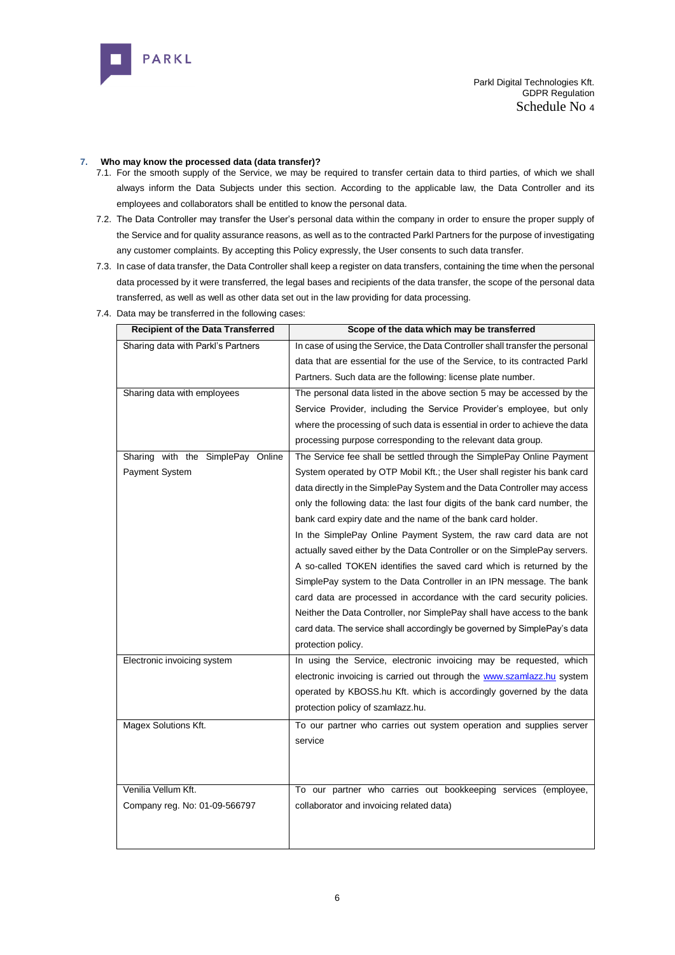

## **7. Who may know the processed data (data transfer)?**

- 7.1. For the smooth supply of the Service, we may be required to transfer certain data to third parties, of which we shall always inform the Data Subjects under this section. According to the applicable law, the Data Controller and its employees and collaborators shall be entitled to know the personal data.
- 7.2. The Data Controller may transfer the User's personal data within the company in order to ensure the proper supply of the Service and for quality assurance reasons, as well as to the contracted Parkl Partners for the purpose of investigating any customer complaints. By accepting this Policy expressly, the User consents to such data transfer.
- 7.3. In case of data transfer, the Data Controller shall keep a register on data transfers, containing the time when the personal data processed by it were transferred, the legal bases and recipients of the data transfer, the scope of the personal data transferred, as well as well as other data set out in the law providing for data processing.
- 7.4. Data may be transferred in the following cases:

| Scope of the data which may be transferred                                    |
|-------------------------------------------------------------------------------|
| In case of using the Service, the Data Controller shall transfer the personal |
| data that are essential for the use of the Service, to its contracted Parkl   |
| Partners. Such data are the following: license plate number.                  |
| The personal data listed in the above section 5 may be accessed by the        |
| Service Provider, including the Service Provider's employee, but only         |
| where the processing of such data is essential in order to achieve the data   |
| processing purpose corresponding to the relevant data group.                  |
| The Service fee shall be settled through the SimplePay Online Payment         |
| System operated by OTP Mobil Kft.; the User shall register his bank card      |
| data directly in the SimplePay System and the Data Controller may access      |
| only the following data: the last four digits of the bank card number, the    |
| bank card expiry date and the name of the bank card holder.                   |
| In the SimplePay Online Payment System, the raw card data are not             |
| actually saved either by the Data Controller or on the SimplePay servers.     |
| A so-called TOKEN identifies the saved card which is returned by the          |
| SimplePay system to the Data Controller in an IPN message. The bank           |
| card data are processed in accordance with the card security policies.        |
| Neither the Data Controller, nor SimplePay shall have access to the bank      |
| card data. The service shall accordingly be governed by SimplePay's data      |
| protection policy.                                                            |
| In using the Service, electronic invoicing may be requested, which            |
| electronic invoicing is carried out through the www.szamlazz.hu system        |
| operated by KBOSS.hu Kft. which is accordingly governed by the data           |
| protection policy of szamlazz.hu.                                             |
| To our partner who carries out system operation and supplies server           |
| service                                                                       |
|                                                                               |
|                                                                               |
| To our partner who carries out bookkeeping services (employee,                |
| collaborator and invoicing related data)                                      |
|                                                                               |
|                                                                               |
|                                                                               |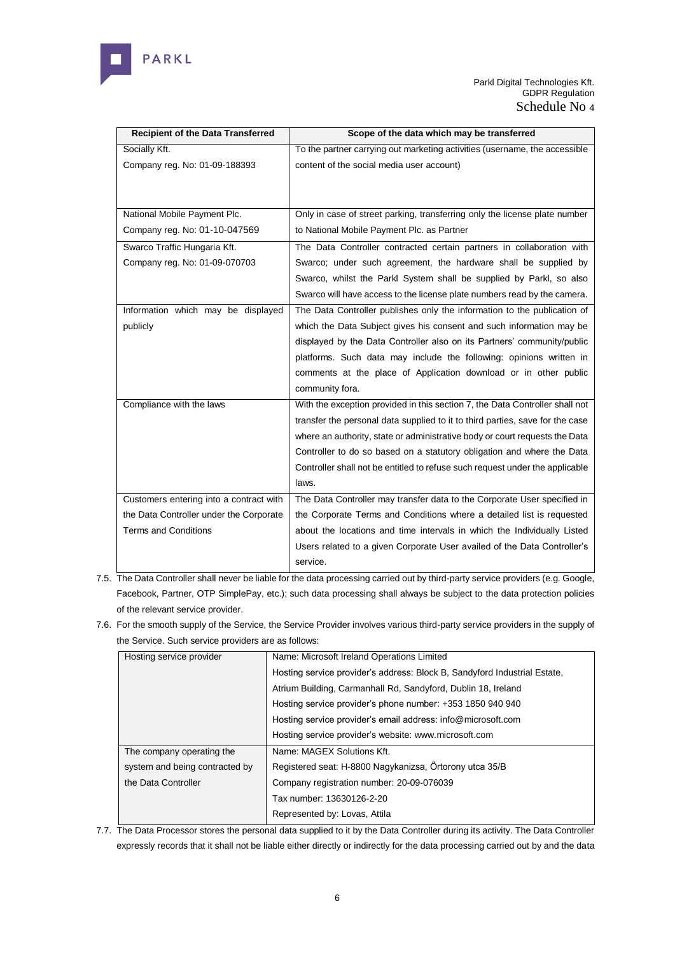

| <b>Recipient of the Data Transferred</b> | Scope of the data which may be transferred                                    |
|------------------------------------------|-------------------------------------------------------------------------------|
| Socially Kft.                            | To the partner carrying out marketing activities (username, the accessible    |
| Company reg. No: 01-09-188393            | content of the social media user account)                                     |
|                                          |                                                                               |
|                                          |                                                                               |
| National Mobile Payment Plc.             | Only in case of street parking, transferring only the license plate number    |
| Company reg. No: 01-10-047569            | to National Mobile Payment Plc. as Partner                                    |
| Swarco Traffic Hungaria Kft.             | The Data Controller contracted certain partners in collaboration with         |
| Company reg. No: 01-09-070703            | Swarco; under such agreement, the hardware shall be supplied by               |
|                                          | Swarco, whilst the Parkl System shall be supplied by Parkl, so also           |
|                                          | Swarco will have access to the license plate numbers read by the camera.      |
| Information which may be displayed       | The Data Controller publishes only the information to the publication of      |
| publicly                                 | which the Data Subject gives his consent and such information may be          |
|                                          | displayed by the Data Controller also on its Partners' community/public       |
|                                          | platforms. Such data may include the following: opinions written in           |
|                                          | comments at the place of Application download or in other public              |
|                                          | community fora.                                                               |
| Compliance with the laws                 | With the exception provided in this section 7, the Data Controller shall not  |
|                                          | transfer the personal data supplied to it to third parties, save for the case |
|                                          | where an authority, state or administrative body or court requests the Data   |
|                                          | Controller to do so based on a statutory obligation and where the Data        |
|                                          | Controller shall not be entitled to refuse such request under the applicable  |
|                                          | laws.                                                                         |
| Customers entering into a contract with  | The Data Controller may transfer data to the Corporate User specified in      |
| the Data Controller under the Corporate  | the Corporate Terms and Conditions where a detailed list is requested         |
| <b>Terms and Conditions</b>              | about the locations and time intervals in which the Individually Listed       |
|                                          | Users related to a given Corporate User availed of the Data Controller's      |
|                                          | service.                                                                      |

- 7.5. The Data Controller shall never be liable for the data processing carried out by third-party service providers (e.g. Google, Facebook, Partner, OTP SimplePay, etc.); such data processing shall always be subject to the data protection policies of the relevant service provider.
- 7.6. For the smooth supply of the Service, the Service Provider involves various third-party service providers in the supply of the Service. Such service providers are as follows:

| Hosting service provider       | Name: Microsoft Ireland Operations Limited                                |  |
|--------------------------------|---------------------------------------------------------------------------|--|
|                                | Hosting service provider's address: Block B, Sandyford Industrial Estate, |  |
|                                | Atrium Building, Carmanhall Rd, Sandyford, Dublin 18, Ireland             |  |
|                                | Hosting service provider's phone number: +353 1850 940 940                |  |
|                                | Hosting service provider's email address: info@microsoft.com              |  |
|                                | Hosting service provider's website: www.microsoft.com                     |  |
| The company operating the      | Name: MAGEX Solutions Kft.                                                |  |
| system and being contracted by | Registered seat: H-8800 Nagykanizsa, Örtorony utca 35/B                   |  |
| the Data Controller            | Company registration number: 20-09-076039                                 |  |
|                                | Tax number: 13630126-2-20                                                 |  |
|                                | Represented by: Lovas, Attila                                             |  |

7.7. The Data Processor stores the personal data supplied to it by the Data Controller during its activity. The Data Controller expressly records that it shall not be liable either directly or indirectly for the data processing carried out by and the data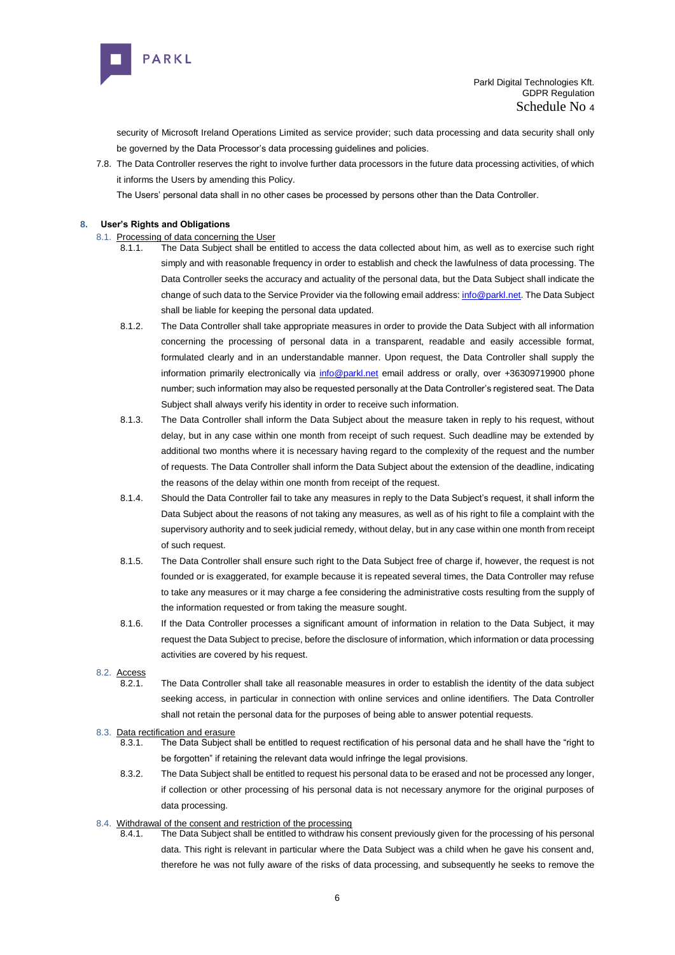

security of Microsoft Ireland Operations Limited as service provider; such data processing and data security shall only be governed b[y the Data Processor's data processing guidelines and policies.](about:blank)

7.8. The Data Controller reserves the right to involve further data processors in the future data processing activities, of which it informs the Users by amending this Policy.

The Users' personal data shall in no other cases be processed by persons other than the Data Controller.

# **8. User's Rights and Obligations**

## 8.1. Processing of data concerning the User

- 8.1.1. The Data Subject shall be entitled to access the data collected about him, as well as to exercise such right simply and with reasonable frequency in order to establish and check the lawfulness of data processing. The Data Controller seeks the accuracy and actuality of the personal data, but the Data Subject shall indicate the change of such data to the Service Provider via the following email address[: info@parkl.net.](about:blank) The Data Subject shall be liable for keeping the personal data updated.
- 8.1.2. The Data Controller shall take appropriate measures in order to provide the Data Subject with all information concerning the processing of personal data in a transparent, readable and easily accessible format, formulated clearly and in an understandable manner. Upon request, the Data Controller shall supply the information primarily electronically via [info@parkl.net](about:blank) email address or orally, over +36309719900 phone number; such information may also be requested personally at the Data Controller's registered seat. The Data Subject shall always verify his identity in order to receive such information.
- 8.1.3. The Data Controller shall inform the Data Subject about the measure taken in reply to his request, without delay, but in any case within one month from receipt of such request. Such deadline may be extended by additional two months where it is necessary having regard to the complexity of the request and the number of requests. The Data Controller shall inform the Data Subject about the extension of the deadline, indicating the reasons of the delay within one month from receipt of the request.
- 8.1.4. Should the Data Controller fail to take any measures in reply to the Data Subject's request, it shall inform the Data Subject about the reasons of not taking any measures, as well as of his right to file a complaint with the supervisory authority and to seek judicial remedy, without delay, but in any case within one month from receipt of such request.
- 8.1.5. The Data Controller shall ensure such right to the Data Subject free of charge if, however, the request is not founded or is exaggerated, for example because it is repeated several times, the Data Controller may refuse to take any measures or it may charge a fee considering the administrative costs resulting from the supply of the information requested or from taking the measure sought.
- 8.1.6. If the Data Controller processes a significant amount of information in relation to the Data Subject, it may request the Data Subject to precise, before the disclosure of information, which information or data processing activities are covered by his request.

8.2. Access

8.2.1. The Data Controller shall take all reasonable measures in order to establish the identity of the data subject seeking access, in particular in connection with online services and online identifiers. The Data Controller shall not retain the personal data for the purposes of being able to answer potential requests.

#### 8.3. Data rectification and erasure

- 8.3.1. The Data Subject shall be entitled to request rectification of his personal data and he shall have the "right to be forgotten" if retaining the relevant data would infringe the legal provisions.
- 8.3.2. The Data Subject shall be entitled to request his personal data to be erased and not be processed any longer, if collection or other processing of his personal data is not necessary anymore for the original purposes of data processing.

## 8.4. Withdrawal of the consent and restriction of the processing

8.4.1. The Data Subject shall be entitled to withdraw his consent previously given for the processing of his personal data. This right is relevant in particular where the Data Subject was a child when he gave his consent and, therefore he was not fully aware of the risks of data processing, and subsequently he seeks to remove the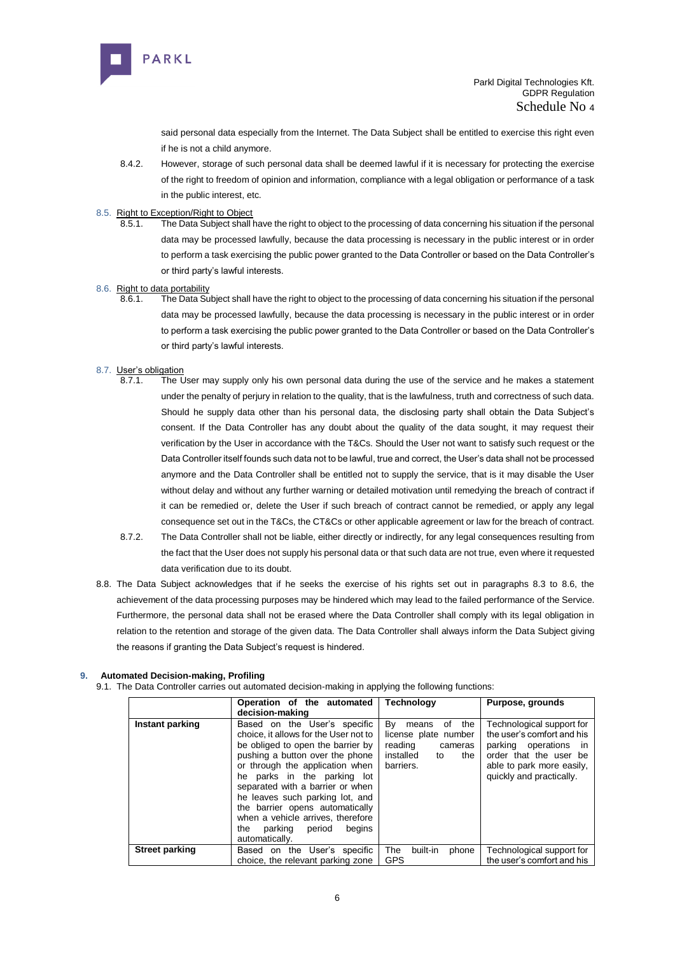

said personal data especially from the Internet. The Data Subject shall be entitled to exercise this right even if he is not a child anymore.

- 8.4.2. However, storage of such personal data shall be deemed lawful if it is necessary for protecting the exercise of the right to freedom of opinion and information, compliance with a legal obligation or performance of a task in the public interest, etc.
- 8.5. Right to Exception/Right to Object
	- 8.5.1. The Data Subject shall have the right to object to the processing of data concerning his situation if the personal data may be processed lawfully, because the data processing is necessary in the public interest or in order to perform a task exercising the public power granted to the Data Controller or based on the Data Controller's or third party's lawful interests.

## 8.6. Right to data portability

8.6.1. The Data Subject shall have the right to object to the processing of data concerning his situation if the personal data may be processed lawfully, because the data processing is necessary in the public interest or in order to perform a task exercising the public power granted to the Data Controller or based on the Data Controller's or third party's lawful interests.

# 8.7. User's obligation<br>8.7.1 The I

- The User may supply only his own personal data during the use of the service and he makes a statement under the penalty of perjury in relation to the quality, that is the lawfulness, truth and correctness of such data. Should he supply data other than his personal data, the disclosing party shall obtain the Data Subject's consent. If the Data Controller has any doubt about the quality of the data sought, it may request their verification by the User in accordance with the T&Cs. Should the User not want to satisfy such request or the Data Controller itself founds such data not to be lawful, true and correct, the User's data shall not be processed anymore and the Data Controller shall be entitled not to supply the service, that is it may disable the User without delay and without any further warning or detailed motivation until remedying the breach of contract if it can be remedied or, delete the User if such breach of contract cannot be remedied, or apply any legal consequence set out in the T&Cs, the CT&Cs or other applicable agreement or law for the breach of contract.
- 8.7.2. The Data Controller shall not be liable, either directly or indirectly, for any legal consequences resulting from the fact that the User does not supply his personal data or that such data are not true, even where it requested data verification due to its doubt.
- 8.8. The Data Subject acknowledges that if he seeks the exercise of his rights set out in paragraphs 8.3 to 8.6, the achievement of the data processing purposes may be hindered which may lead to the failed performance of the Service. Furthermore, the personal data shall not be erased where the Data Controller shall comply with its legal obligation in relation to the retention and storage of the given data. The Data Controller shall always inform the Data Subject giving the reasons if granting the Data Subject's request is hindered.

# **9. Automated Decision-making, Profiling**

9.1. The Data Controller carries out automated decision-making in applying the following functions:

|                       | Operation of the automated                                                                                                                                                                                                                                                                                                                                                                                             | Technology                                                                                                    | Purpose, grounds                                                                                                                                                              |
|-----------------------|------------------------------------------------------------------------------------------------------------------------------------------------------------------------------------------------------------------------------------------------------------------------------------------------------------------------------------------------------------------------------------------------------------------------|---------------------------------------------------------------------------------------------------------------|-------------------------------------------------------------------------------------------------------------------------------------------------------------------------------|
|                       | decision-making                                                                                                                                                                                                                                                                                                                                                                                                        |                                                                                                               |                                                                                                                                                                               |
| Instant parking       | Based on the User's specific<br>choice, it allows for the User not to<br>be obliged to open the barrier by<br>pushing a button over the phone<br>or through the application when<br>he parks in the parking lot<br>separated with a barrier or when<br>he leaves such parking lot, and<br>the barrier opens automatically<br>when a vehicle arrives, therefore<br>parking<br>period<br>begins<br>the<br>automatically. | Bv<br>the<br>of<br>means<br>license plate number<br>reading<br>cameras<br>installed<br>the<br>to<br>barriers. | Technological support for<br>the user's comfort and his<br>parking operations<br><b>In</b><br>order that the user be<br>able to park more easily,<br>quickly and practically. |
| <b>Street parking</b> | on the User's specific<br>Based                                                                                                                                                                                                                                                                                                                                                                                        | built-in<br>The<br>phone                                                                                      | Technological support for                                                                                                                                                     |
|                       | choice, the relevant parking zone                                                                                                                                                                                                                                                                                                                                                                                      | <b>GPS</b>                                                                                                    | the user's comfort and his                                                                                                                                                    |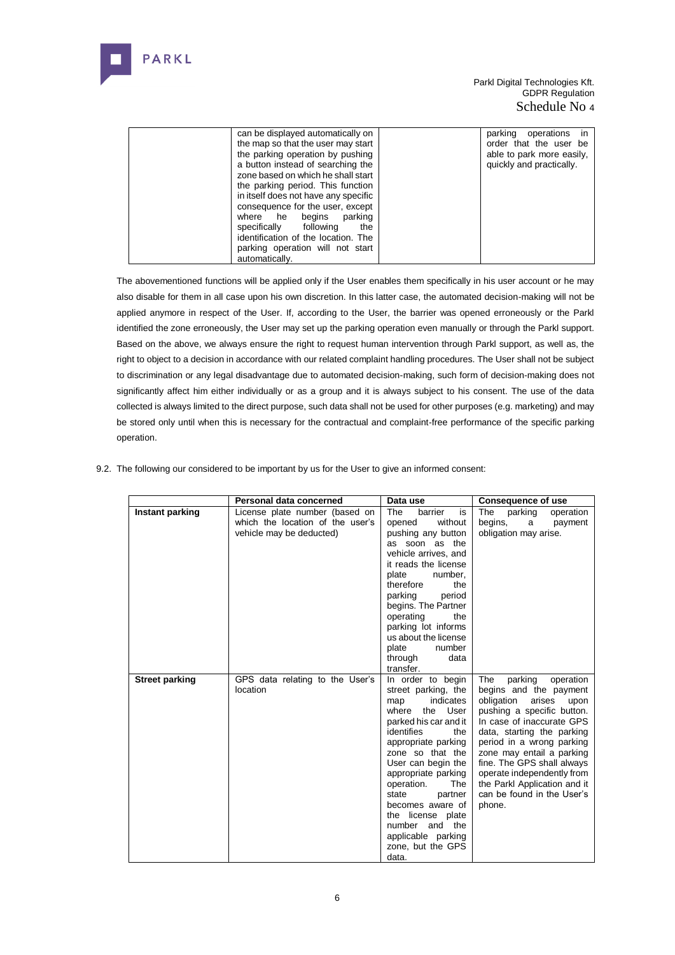

| can be displayed automatically on    | parking operations in     |
|--------------------------------------|---------------------------|
| the map so that the user may start   | order that the user be    |
| the parking operation by pushing     | able to park more easily, |
| a button instead of searching the    | quickly and practically.  |
| zone based on which he shall start   |                           |
| the parking period. This function    |                           |
| in itself does not have any specific |                           |
| consequence for the user, except     |                           |
| where he begins<br>parking           |                           |
| specifically following<br>the        |                           |
| identification of the location. The  |                           |
| parking operation will not start     |                           |
| automatically.                       |                           |

The abovementioned functions will be applied only if the User enables them specifically in his user account or he may also disable for them in all case upon his own discretion. In this latter case, the automated decision-making will not be applied anymore in respect of the User. If, according to the User, the barrier was opened erroneously or the Parkl identified the zone erroneously, the User may set up the parking operation even manually or through the Parkl support. Based on the above, we always ensure the right to request human intervention through Parkl support, as well as, the right to object to a decision in accordance with our related complaint handling procedures. The User shall not be subject to discrimination or any legal disadvantage due to automated decision-making, such form of decision-making does not significantly affect him either individually or as a group and it is always subject to his consent. The use of the data collected is always limited to the direct purpose, such data shall not be used for other purposes (e.g. marketing) and may be stored only until when this is necessary for the contractual and complaint-free performance of the specific parking operation.

|                       | Personal data concerned                                                                        | Data use                                                                                                                                                                                                                                                                                                                                                                        | <b>Consequence of use</b>                                                                                                                                                                                                                                                                                                                                                    |
|-----------------------|------------------------------------------------------------------------------------------------|---------------------------------------------------------------------------------------------------------------------------------------------------------------------------------------------------------------------------------------------------------------------------------------------------------------------------------------------------------------------------------|------------------------------------------------------------------------------------------------------------------------------------------------------------------------------------------------------------------------------------------------------------------------------------------------------------------------------------------------------------------------------|
| Instant parking       | License plate number (based on<br>which the location of the user's<br>vehicle may be deducted) | The<br>barrier<br>is<br>without<br>opened<br>pushing any button<br>as soon as the<br>vehicle arrives, and<br>it reads the license<br>plate<br>number,<br>therefore<br>the<br>parking<br>period<br>begins. The Partner<br>operating<br>the<br>parking lot informs<br>us about the license<br>plate<br>number<br>through<br>data<br>transfer.                                     | The<br>parking<br>operation<br>begins,<br>a<br>payment<br>obligation may arise.                                                                                                                                                                                                                                                                                              |
| <b>Street parking</b> | GPS data relating to the User's<br>location                                                    | In order to begin<br>street parking, the<br>indicates<br>map<br>the User<br>where<br>parked his car and it<br>identifies<br>the<br>appropriate parking<br>zone so that the<br>User can begin the<br>appropriate parking<br>operation.<br>The<br>state<br>partner<br>becomes aware of<br>the license plate<br>number and the<br>applicable parking<br>zone, but the GPS<br>data. | The<br>parking<br>operation<br>begins and the payment<br>obligation<br>arises<br>upon<br>pushing a specific button.<br>In case of inaccurate GPS<br>data, starting the parking<br>period in a wrong parking<br>zone may entail a parking<br>fine. The GPS shall always<br>operate independently from<br>the Parkl Application and it<br>can be found in the User's<br>phone. |

9.2. The following our considered to be important by us for the User to give an informed consent: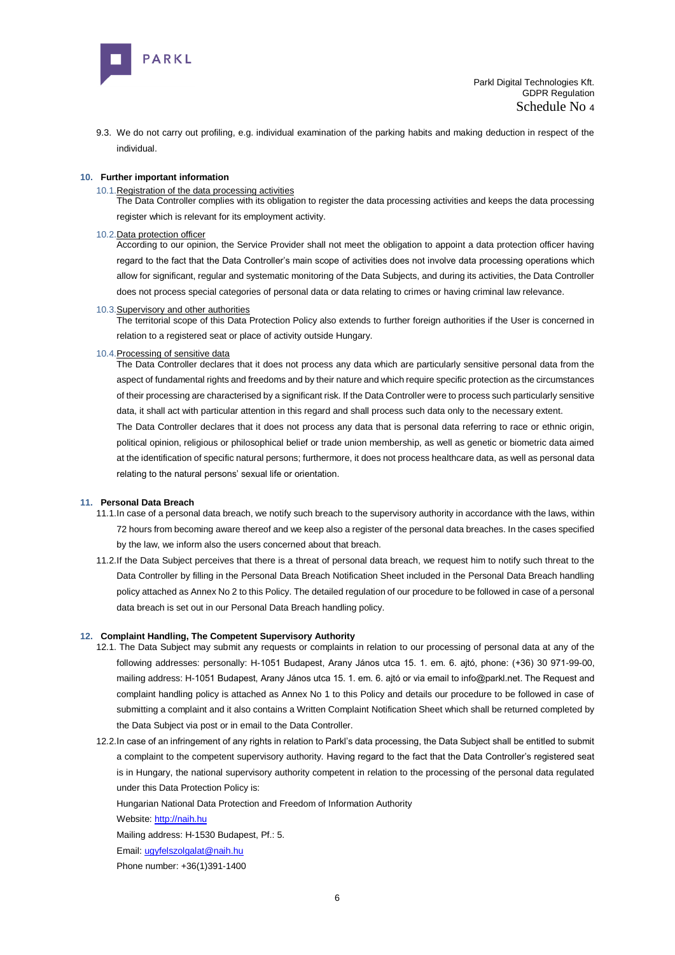

9.3. We do not carry out profiling, e.g. individual examination of the parking habits and making deduction in respect of the individual.

#### **10. Further important information**

#### 10.1.Registration of the data processing activities

The Data Controller complies with its obligation to register the data processing activities and keeps the data processing register which is relevant for its employment activity.

#### 10.2.Data protection officer

According to our opinion, the Service Provider shall not meet the obligation to appoint a data protection officer having regard to the fact that the Data Controller's main scope of activities does not involve data processing operations which allow for significant, regular and systematic monitoring of the Data Subjects, and during its activities, the Data Controller does not process special categories of personal data or data relating to crimes or having criminal law relevance.

#### 10.3.Supervisory and other authorities

The territorial scope of this Data Protection Policy also extends to further foreign authorities if the User is concerned in relation to a registered seat or place of activity outside Hungary.

#### 10.4.Processing of sensitive data

The Data Controller declares that it does not process any data which are particularly sensitive personal data from the aspect of fundamental rights and freedoms and by their nature and which require specific protection as the circumstances of their processing are characterised by a significant risk. If the Data Controller were to process such particularly sensitive data, it shall act with particular attention in this regard and shall process such data only to the necessary extent.

The Data Controller declares that it does not process any data that is personal data referring to race or ethnic origin, political opinion, religious or philosophical belief or trade union membership, as well as genetic or biometric data aimed at the identification of specific natural persons; furthermore, it does not process healthcare data, as well as personal data relating to the natural persons' sexual life or orientation.

#### **11. Personal Data Breach**

- 11.1.In case of a personal data breach, we notify such breach to the supervisory authority in accordance with the laws, within 72 hours from becoming aware thereof and we keep also a register of the personal data breaches. In the cases specified by the law, we inform also the users concerned about that breach.
- 11.2.If the Data Subject perceives that there is a threat of personal data breach, we request him to notify such threat to the Data Controller by filling in the Personal Data Breach Notification Sheet included in the Personal Data Breach handling policy attached as Annex No 2 to this Policy. The detailed regulation of our procedure to be followed in case of a personal data breach is set out in our Personal Data Breach handling policy.

#### **12. Complaint Handling, The Competent Supervisory Authority**

- 12.1. The Data Subject may submit any requests or complaints in relation to our processing of personal data at any of the following addresses: personally: [H-1051 Budapest, Arany János utca 15. 1. em. 6.](about:blank) ajtó, phone: (+36) 30 971-99-00, mailing address[: H-1051 Budapest, Arany János utca 15. 1. em. 6.](about:blank) ajtó or via email to info@parkl.net. The Request and complaint handling policy is attached as Annex No 1 to this Policy and details our procedure to be followed in case of submitting a complaint and it also contains a Written Complaint Notification Sheet which shall be returned completed by the Data Subject via post or in email to the Data Controller.
- 12.2.In case of an infringement of any rights in relation to Parkl's data processing, the Data Subject shall be entitled to submit a complaint to the competent supervisory authority. Having regard to the fact that the Data Controller's registered seat is in Hungary, the national supervisory authority competent in relation to the processing of the personal data regulated under this Data Protection Policy is:
	- Hungarian National Data Protection and Freedom of Information Authority

Website[: http://naih.hu](about:blank)

Mailing address: H-1530 Budapest, Pf.: 5.

Email[: ugyfelszolgalat@naih.hu](about:blank)

Phone number: +36(1)391-1400